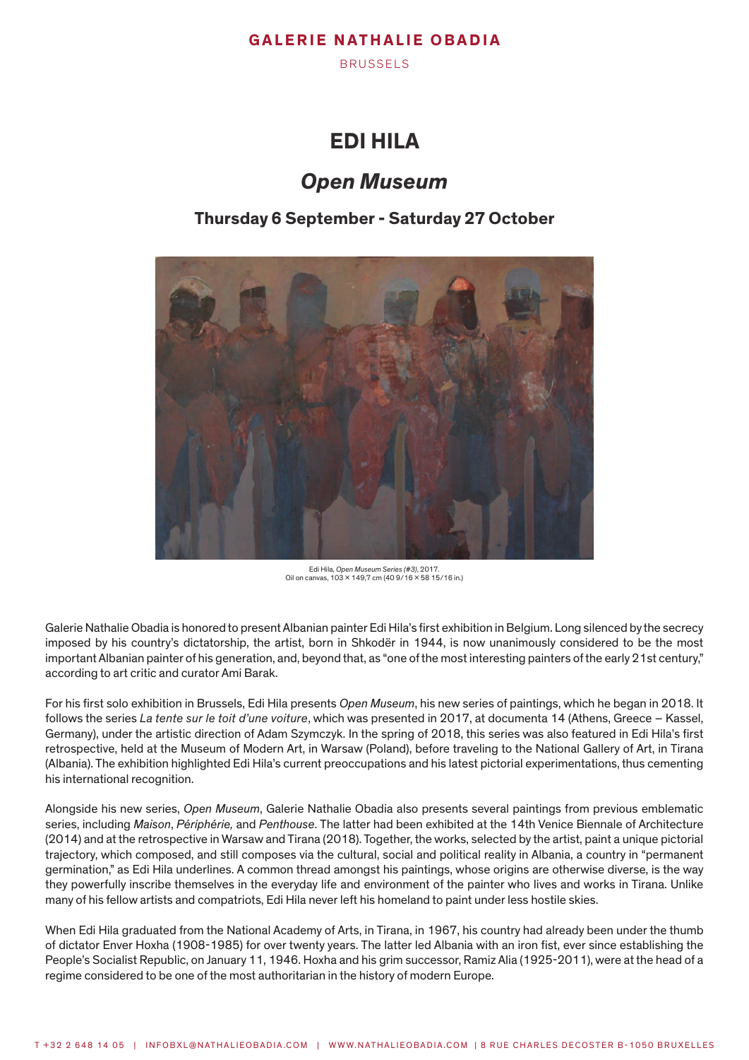BRUSSELS

# **EDI HILA**

# *Open Museum*

## **Thursday 6 September - Saturday 27 October**



Edi Hila, *Open Museum Series (#3)*, 2017. Oil on canvas, 103 x 149,7 cm (40 9/16 x 58 15/16 in.)

Galerie Nathalie Obadia is honored to present Albanian painter Edi Hila's first exhibition in Belgium. Long silenced by the secrecy imposed by his country's dictatorship, the artist, born in Shkodër in 1944, is now unanimously considered to be the most important Albanian painter of his generation, and, beyond that, as "one of the most interesting painters of the early 21st century," according to art critic and curator Ami Barak.

For his first solo exhibition in Brussels, Edi Hila presents *Open Museum*, his new series of paintings, which he began in 2018. It follows the series *La tente sur le toit d'une voiture*, which was presented in 2017, at documenta 14 (Athens, Greece – Kassel, Germany), under the artistic direction of Adam Szymczyk. In the spring of 2018, this series was also featured in Edi Hila's first retrospective, held at the Museum of Modern Art, in Warsaw (Poland), before traveling to the National Gallery of Art, in Tirana (Albania). The exhibition highlighted Edi Hila's current preoccupations and his latest pictorial experimentations, thus cementing his international recognition.

Alongside his new series, *Open Museum*, Galerie Nathalie Obadia also presents several paintings from previous emblematic series, including *Maison*, *Périphérie,* and *Penthouse*. The latter had been exhibited at the 14th Venice Biennale of Architecture (2014) and at the retrospective in Warsaw and Tirana (2018). Together, the works, selected by the artist, paint a unique pictorial trajectory, which composed, and still composes via the cultural, social and political reality in Albania, a country in "permanent germination," as Edi Hila underlines. A common thread amongst his paintings, whose origins are otherwise diverse, is the way they powerfully inscribe themselves in the everyday life and environment of the painter who lives and works in Tirana. Unlike many of his fellow artists and compatriots, Edi Hila never left his homeland to paint under less hostile skies.

When Edi Hila graduated from the National Academy of Arts, in Tirana, in 1967, his country had already been under the thumb of dictator Enver Hoxha (1908-1985) for over twenty years. The latter led Albania with an iron fist, ever since establishing the People's Socialist Republic, on January 11, 1946. Hoxha and his grim successor, Ramiz Alia (1925-2011), were at the head of a regime considered to be one of the most authoritarian in the history of modern Europe.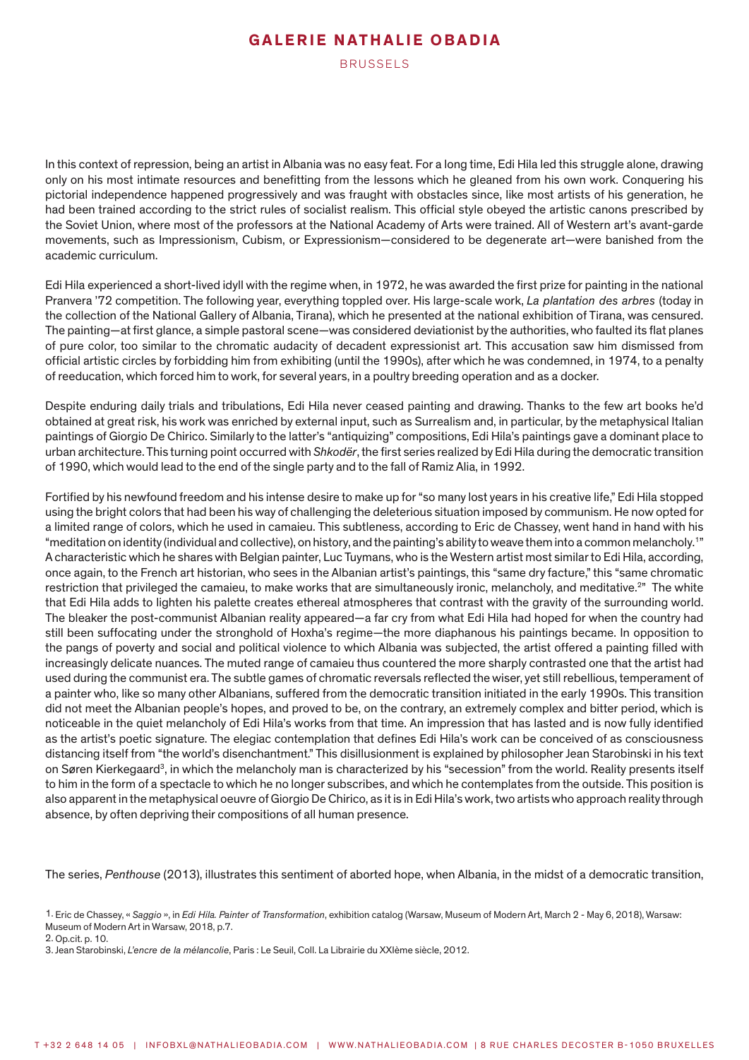BRUSSELS

In this context of repression, being an artist in Albania was no easy feat. For a long time, Edi Hila led this struggle alone, drawing only on his most intimate resources and benefitting from the lessons which he gleaned from his own work. Conquering his pictorial independence happened progressively and was fraught with obstacles since, like most artists of his generation, he had been trained according to the strict rules of socialist realism. This official style obeyed the artistic canons prescribed by the Soviet Union, where most of the professors at the National Academy of Arts were trained. All of Western art's avant-garde movements, such as Impressionism, Cubism, or Expressionism—considered to be degenerate art—were banished from the academic curriculum.

Edi Hila experienced a short-lived idyll with the regime when, in 1972, he was awarded the first prize for painting in the national Pranvera '72 competition. The following year, everything toppled over. His large-scale work, *La plantation des arbres* (today in the collection of the National Gallery of Albania, Tirana), which he presented at the national exhibition of Tirana, was censured. The painting—at first glance, a simple pastoral scene—was considered deviationist by the authorities, who faulted its flat planes of pure color, too similar to the chromatic audacity of decadent expressionist art. This accusation saw him dismissed from official artistic circles by forbidding him from exhibiting (until the 1990s), after which he was condemned, in 1974, to a penalty of reeducation, which forced him to work, for several years, in a poultry breeding operation and as a docker.

Despite enduring daily trials and tribulations, Edi Hila never ceased painting and drawing. Thanks to the few art books he'd obtained at great risk, his work was enriched by external input, such as Surrealism and, in particular, by the metaphysical Italian paintings of Giorgio De Chirico. Similarly to the latter's "antiquizing" compositions, Edi Hila's paintings gave a dominant place to urban architecture. This turning point occurred with *Shkodër*, the first series realized by Edi Hila during the democratic transition of 1990, which would lead to the end of the single party and to the fall of Ramiz Alia, in 1992.

Fortified by his newfound freedom and his intense desire to make up for "so many lost years in his creative life," Edi Hila stopped using the bright colors that had been his way of challenging the deleterious situation imposed by communism. He now opted for a limited range of colors, which he used in camaieu. This subtleness, according to Eric de Chassey, went hand in hand with his "meditation on identity (individual and collective), on history, and the painting's ability to weave them into a common melancholy.<sup>1"</sup> A characteristic which he shares with Belgian painter, Luc Tuymans, who is the Western artist most similar to Edi Hila, according, once again, to the French art historian, who sees in the Albanian artist's paintings, this "same dry facture," this "same chromatic restriction that privileged the camaieu, to make works that are simultaneously ironic, melancholy, and meditative.<sup>2"</sup> The white that Edi Hila adds to lighten his palette creates ethereal atmospheres that contrast with the gravity of the surrounding world. The bleaker the post-communist Albanian reality appeared—a far cry from what Edi Hila had hoped for when the country had still been suffocating under the stronghold of Hoxha's regime—the more diaphanous his paintings became. In opposition to the pangs of poverty and social and political violence to which Albania was subjected, the artist offered a painting filled with increasingly delicate nuances. The muted range of camaieu thus countered the more sharply contrasted one that the artist had used during the communist era. The subtle games of chromatic reversals reflected the wiser, yet still rebellious, temperament of a painter who, like so many other Albanians, suffered from the democratic transition initiated in the early 1990s. This transition did not meet the Albanian people's hopes, and proved to be, on the contrary, an extremely complex and bitter period, which is noticeable in the quiet melancholy of Edi Hila's works from that time. An impression that has lasted and is now fully identified as the artist's poetic signature. The elegiac contemplation that defines Edi Hila's work can be conceived of as consciousness distancing itself from "the world's disenchantment." This disillusionment is explained by philosopher Jean Starobinski in his text on Søren Kierkegaard<sup>3</sup>, in which the melancholy man is characterized by his "secession" from the world. Reality presents itself to him in the form of a spectacle to which he no longer subscribes, and which he contemplates from the outside. This position is also apparent in the metaphysical oeuvre of Giorgio De Chirico, as it is in Edi Hila's work, two artists who approach reality through absence, by often depriving their compositions of all human presence.

The series, *Penthouse* (2013), illustrates this sentiment of aborted hope, when Albania, in the midst of a democratic transition,

<sup>1.</sup> Eric de Chassey, « *Saggio* », in *Edi Hila. Painter of Transformation*, exhibition catalog (Warsaw, Museum of Modern Art, March 2 - May 6, 2018), Warsaw: Museum of Modern Art in Warsaw, 2018, p.7.

<sup>2.</sup> Op.cit. p. 10.

<sup>3.</sup> Jean Starobinski, *L'encre de la mélancolie*, Paris : Le Seuil, Coll. La Librairie du XXIème siècle, 2012.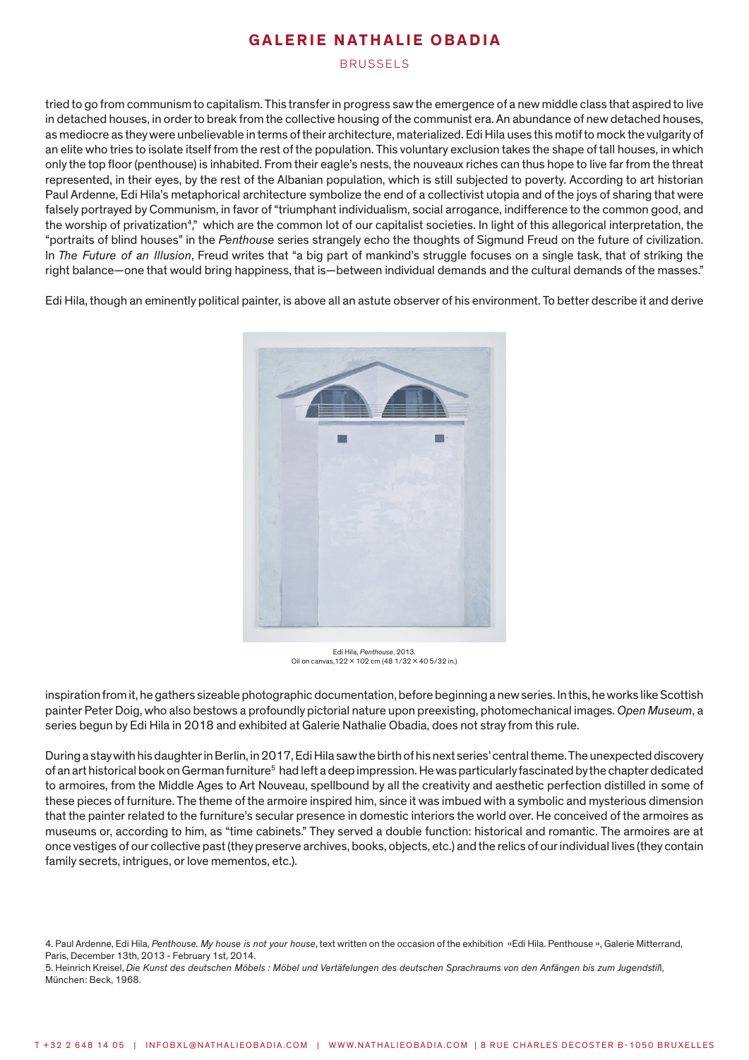BRUSSELS

tried to go from communism to capitalism. This transfer in progress saw the emergence of a new middle class that aspired to live in detached houses, in order to break from the collective housing of the communist era. An abundance of new detached houses, as mediocre as they were unbelievable in terms of their architecture, materialized. Edi Hila uses this motif to mock the vulgarity of an elite who tries to isolate itself from the rest of the population. This voluntary exclusion takes the shape of tall houses, in which only the top floor (penthouse) is inhabited. From their eagle's nests, the nouveaux riches can thus hope to live far from the threat represented, in their eyes, by the rest of the Albanian population, which is still subjected to poverty. According to art historian Paul Ardenne, Edi Hila's metaphorical architecture symbolize the end of a collectivist utopia and of the joys of sharing that were falsely portrayed by Communism, in favor of "triumphant individualism, social arrogance, indifference to the common good, and the worship of privatization<sup>4</sup>," which are the common lot of our capitalist societies. In light of this allegorical interpretation, the "portraits of blind houses" in the *Penthouse* series strangely echo the thoughts of Sigmund Freud on the future of civilization. In *The Future of an Illusion*, Freud writes that "a big part of mankind's struggle focuses on a single task, that of striking the right balance—one that would bring happiness, that is—between individual demands and the cultural demands of the masses."

Edi Hila, though an eminently political painter, is above all an astute observer of his environment. To better describe it and derive



Edi Hila, *Penthouse*, 2013. Oil on canvas,122 x 102 cm (48 1/32 x 40 5/32 in.)

inspiration from it, he gathers sizeable photographic documentation, before beginning a new series. In this, he works like Scottish painter Peter Doig, who also bestows a profoundly pictorial nature upon preexisting, photomechanical images. *Open Museum*, a series begun by Edi Hila in 2018 and exhibited at Galerie Nathalie Obadia, does not stray from this rule.

During a stay with his daughter in Berlin, in 2017, Edi Hila saw the birth of his next series' central theme. The unexpected discovery of an art historical book on German furniture<sup>5</sup> had left a deep impression. He was particularly fascinated by the chapter dedicated to armoires, from the Middle Ages to Art Nouveau, spellbound by all the creativity and aesthetic perfection distilled in some of these pieces of furniture. The theme of the armoire inspired him, since it was imbued with a symbolic and mysterious dimension that the painter related to the furniture's secular presence in domestic interiors the world over. He conceived of the armoires as museums or, according to him, as "time cabinets." They served a double function: historical and romantic. The armoires are at once vestiges of our collective past (they preserve archives, books, objects, etc.) and the relics of our individual lives (they contain family secrets, intrigues, or love mementos, etc.).

4. Paul Ardenne, Edi Hila, *Penthouse. My house is not your house*, text written on the occasion of the exhibition «Edi Hila. Penthouse », Galerie Mitterrand, Paris, December 13th, 2013 - February 1st, 2014.

5. Heinrich Kreisel, *Die Kunst des deutschen Möbels : Möbel und Vertäfelungen des deutschen Sprachraums von den Anfängen bis zum Jugendstil*l, München: Beck, 1968.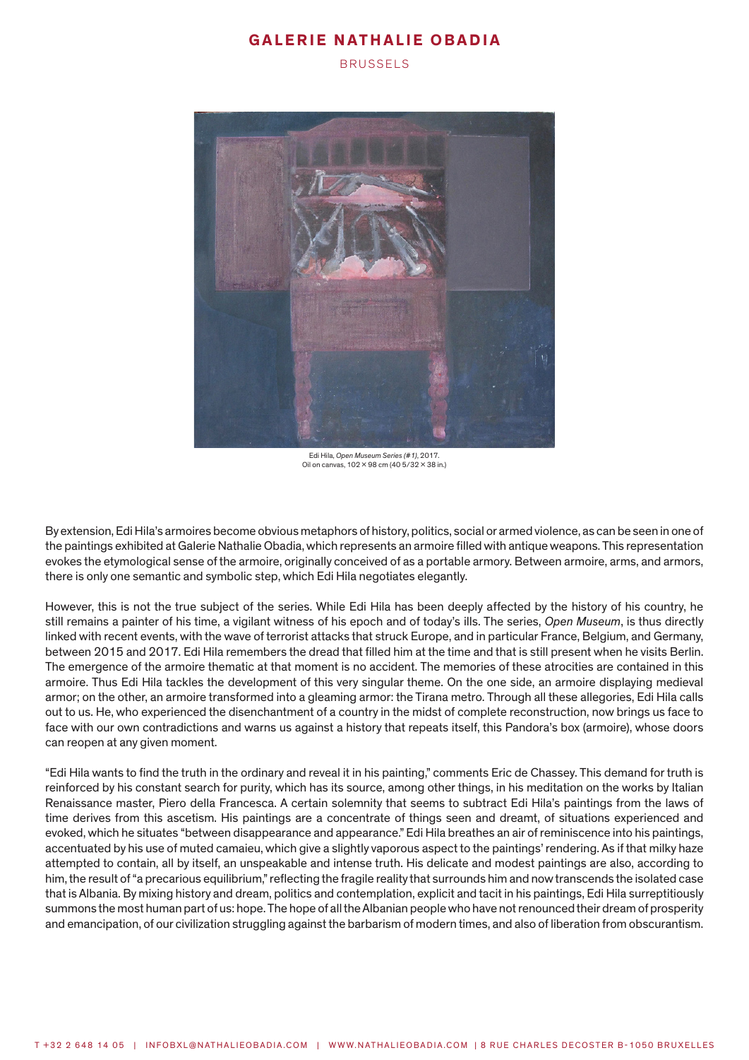BRUSSELS



Edi Hila, *Open Museum Series (#1)*, 2017. Oil on canvas, 102 x 98 cm (40 5/32 x 38 in.)

By extension, Edi Hila's armoires become obvious metaphors of history, politics, social or armed violence, as can be seen in one of the paintings exhibited at Galerie Nathalie Obadia, which represents an armoire filled with antique weapons. This representation evokes the etymological sense of the armoire, originally conceived of as a portable armory. Between armoire, arms, and armors, there is only one semantic and symbolic step, which Edi Hila negotiates elegantly.

However, this is not the true subject of the series. While Edi Hila has been deeply affected by the history of his country, he still remains a painter of his time, a vigilant witness of his epoch and of today's ills. The series, *Open Museum*, is thus directly linked with recent events, with the wave of terrorist attacks that struck Europe, and in particular France, Belgium, and Germany, between 2015 and 2017. Edi Hila remembers the dread that filled him at the time and that is still present when he visits Berlin. The emergence of the armoire thematic at that moment is no accident. The memories of these atrocities are contained in this armoire. Thus Edi Hila tackles the development of this very singular theme. On the one side, an armoire displaying medieval armor; on the other, an armoire transformed into a gleaming armor: the Tirana metro. Through all these allegories, Edi Hila calls out to us. He, who experienced the disenchantment of a country in the midst of complete reconstruction, now brings us face to face with our own contradictions and warns us against a history that repeats itself, this Pandora's box (armoire), whose doors can reopen at any given moment.

"Edi Hila wants to find the truth in the ordinary and reveal it in his painting," comments Eric de Chassey. This demand for truth is reinforced by his constant search for purity, which has its source, among other things, in his meditation on the works by Italian Renaissance master, Piero della Francesca. A certain solemnity that seems to subtract Edi Hila's paintings from the laws of time derives from this ascetism. His paintings are a concentrate of things seen and dreamt, of situations experienced and evoked, which he situates "between disappearance and appearance." Edi Hila breathes an air of reminiscence into his paintings, accentuated by his use of muted camaieu, which give a slightly vaporous aspect to the paintings' rendering. As if that milky haze attempted to contain, all by itself, an unspeakable and intense truth. His delicate and modest paintings are also, according to him, the result of "a precarious equilibrium," reflecting the fragile reality that surrounds him and now transcends the isolated case that is Albania. By mixing history and dream, politics and contemplation, explicit and tacit in his paintings, Edi Hila surreptitiously summons the most human part of us: hope. The hope of all the Albanian people who have not renounced their dream of prosperity and emancipation, of our civilization struggling against the barbarism of modern times, and also of liberation from obscurantism.